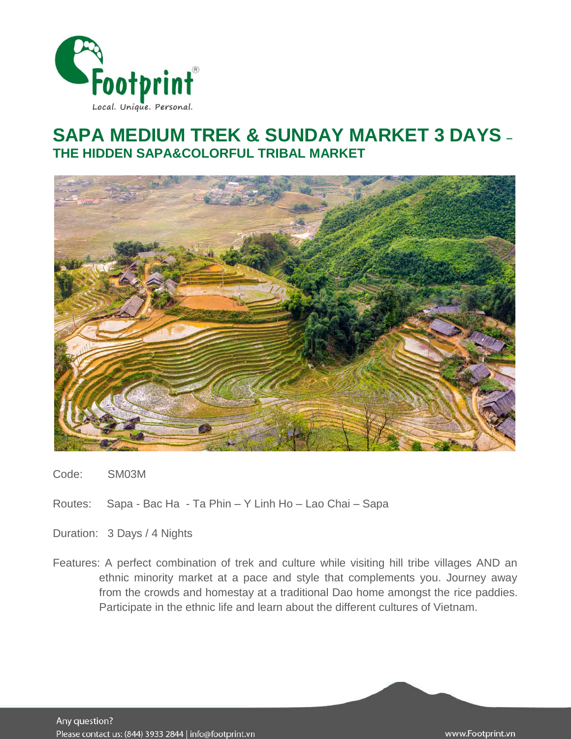

# **SAPA MEDIUM TREK & SUNDAY MARKET 3 DAYS – THE HIDDEN SAPA&COLORFUL TRIBAL MARKET**



Code: SM03M

Routes: Sapa - Bac Ha - Ta Phin – Y Linh Ho – Lao Chai – Sapa

Duration: 3 Days / 4 Nights

Features: A perfect combination of trek and culture while visiting hill tribe villages AND an ethnic minority market at a pace and style that complements you. Journey away from the crowds and homestay at a traditional Dao home amongst the rice paddies. Participate in the ethnic life and learn about the different cultures of Vietnam.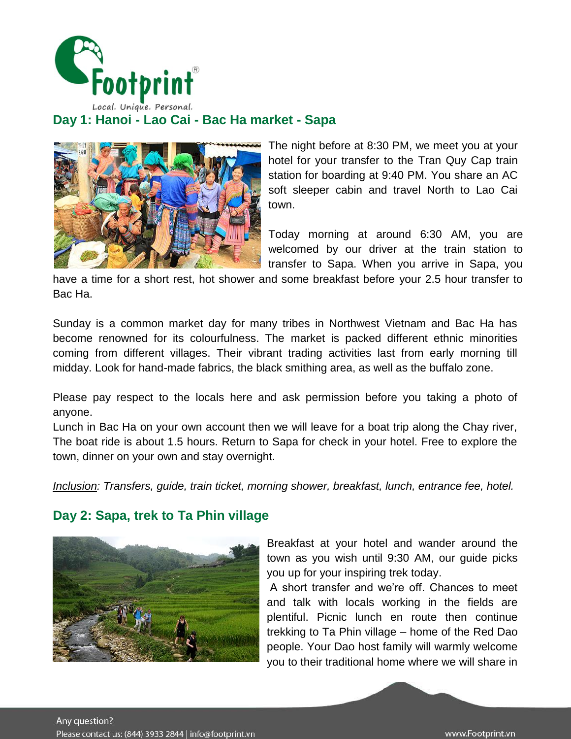

### **Day 1: Hanoi - Lao Cai - Bac Ha market - Sapa**



The night before at 8:30 PM, we meet you at your hotel for your transfer to the Tran Quy Cap train station for boarding at 9:40 PM. You share an AC soft sleeper cabin and travel North to Lao Cai town.

Today morning at around 6:30 AM, you are welcomed by our driver at the train station to transfer to Sapa. When you arrive in Sapa, you

have a time for a short rest, hot shower and some breakfast before your 2.5 hour transfer to Bac Ha.

Sunday is a common market day for many tribes in Northwest Vietnam and Bac Ha has become renowned for its colourfulness. The market is packed different ethnic minorities coming from different villages. Their vibrant trading activities last from early morning till midday. Look for hand-made fabrics, the black smithing area, as well as the buffalo zone.

Please pay respect to the locals here and ask permission before you taking a photo of anyone.

Lunch in Bac Ha on your own account then we will leave for a boat trip along the Chay river, The boat ride is about 1.5 hours. Return to Sapa for check in your hotel. Free to explore the town, dinner on your own and stay overnight.

*Inclusion: Transfers, guide, train ticket, morning shower, breakfast, lunch, entrance fee, hotel.* 

# **Day 2: Sapa, trek to Ta Phin village**



Breakfast at your hotel and wander around the town as you wish until 9:30 AM, our guide picks you up for your inspiring trek today.

A short transfer and we're off. Chances to meet and talk with locals working in the fields are plentiful. Picnic lunch en route then continue trekking to Ta Phin village – home of the Red Dao people. Your Dao host family will warmly welcome you to their traditional home where we will share in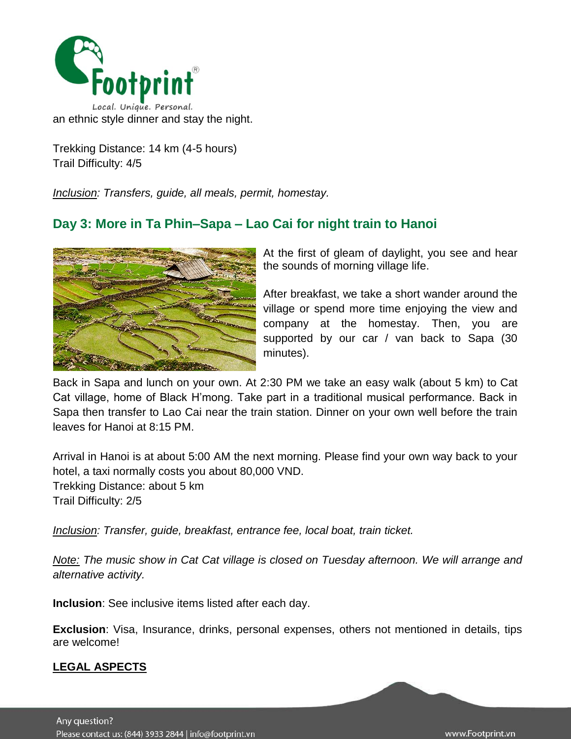

Trekking Distance: 14 km (4-5 hours) Trail Difficulty: 4/5

*Inclusion: Transfers, guide, all meals, permit, homestay.* 

# **Day 3: More in Ta Phin–Sapa – Lao Cai for night train to Hanoi**



At the first of gleam of daylight, you see and hear the sounds of morning village life.

After breakfast, we take a short wander around the village or spend more time enjoying the view and company at the homestay. Then, you are supported by our car / van back to Sapa (30 minutes).

Back in Sapa and lunch on your own. At 2:30 PM we take an easy walk (about 5 km) to Cat Cat village, home of Black H'mong. Take part in a traditional musical performance. Back in Sapa then transfer to Lao Cai near the train station. Dinner on your own well before the train leaves for Hanoi at 8:15 PM.

Arrival in Hanoi is at about 5:00 AM the next morning. Please find your own way back to your hotel, a taxi normally costs you about 80,000 VND. Trekking Distance: about 5 km Trail Difficulty: 2/5

*Inclusion: Transfer, guide, breakfast, entrance fee, local boat, train ticket.*

*Note: The music show in Cat Cat village is closed on Tuesday afternoon. We will arrange and alternative activity.*

**Inclusion**: See inclusive items listed after each day.

**Exclusion**: Visa, Insurance, drinks, personal expenses, others not mentioned in details, tips are welcome!

## **LEGAL ASPECTS**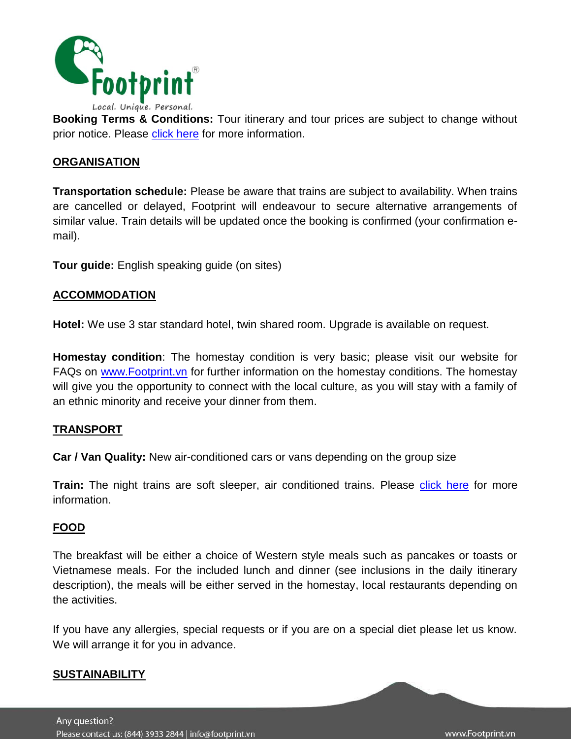

**Booking Terms & Conditions:** Tour itinerary and tour prices are subject to change without prior notice. Please click here for more information.

#### **ORGANISATION**

**Transportation schedule:** Please be aware that trains are subject to availability. When trains are cancelled or delayed, Footprint will endeavour to secure alternative arrangements of similar value. Train details will be updated once the booking is confirmed (your confirmation email).

**Tour guide:** English speaking guide (on sites)

#### **ACCOMMODATION**

**Hotel:** We use 3 star standard hotel, twin shared room. Upgrade is available on request.

**Homestay condition**: The homestay condition is very basic; please visit our website for FAQs on [www.Footprint.vn](http://www.footprint.vn/) for further information on the homestay conditions. The homestay will give you the opportunity to connect with the local culture, as you will stay with a family of an ethnic minority and receive your dinner from them.

#### **TRANSPORT**

**Car / Van Quality:** New air-conditioned cars or vans depending on the group size

**Train:** The night trains are soft sleeper, air conditioned trains. Please *[click here](http://www.footprintsvietnam.com/FAQs/Sapa/Sleeper-train-to-Sapa.htm)* for more information.

#### **FOOD**

The breakfast will be either a choice of Western style meals such as pancakes or toasts or Vietnamese meals. For the included lunch and dinner (see inclusions in the daily itinerary description), the meals will be either served in the homestay, local restaurants depending on the activities.

If you have any allergies, special requests or if you are on a special diet please let us know. We will arrange it for you in advance.

#### **SUSTAINABILITY**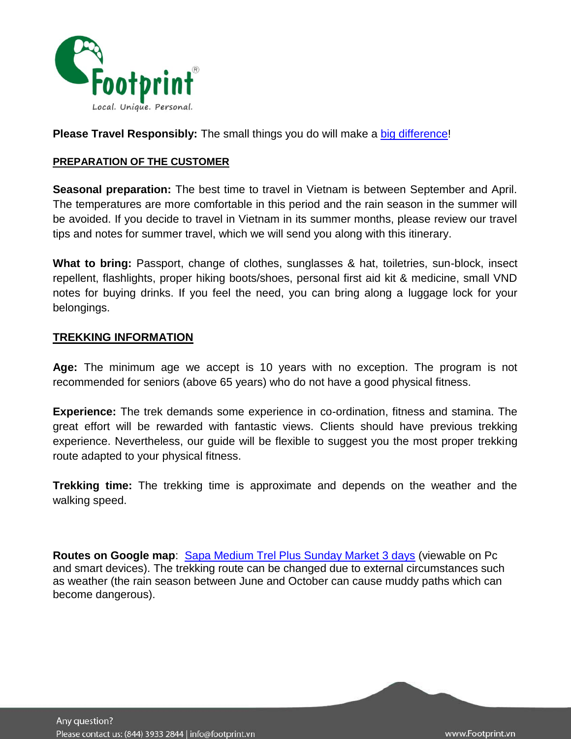

**Please Travel Responsibly:** The small things you do will make a [big difference!](http://www.footprintsvietnam.com/ResponsibleTravel/You-can-play-a-part-too/)

#### **PREPARATION OF THE CUSTOMER**

**Seasonal preparation:** The best time to travel in Vietnam is between September and April. The temperatures are more comfortable in this period and the rain season in the summer will be avoided. If you decide to travel in Vietnam in its summer months, please review our travel tips and notes for summer travel, which we will send you along with this itinerary.

**What to bring:** Passport, change of clothes, sunglasses & hat, toiletries, sun-block, insect repellent, flashlights, proper hiking boots/shoes, personal first aid kit & medicine, small VND notes for buying drinks. If you feel the need, you can bring along a luggage lock for your belongings.

#### **TREKKING INFORMATION**

**Age:** The minimum age we accept is 10 years with no exception. The program is not recommended for seniors (above 65 years) who do not have a good physical fitness.

**Experience:** The trek demands some experience in co-ordination, fitness and stamina. The great effort will be rewarded with fantastic views. Clients should have previous trekking experience. Nevertheless, our guide will be flexible to suggest you the most proper trekking route adapted to your physical fitness.

**Trekking time:** The trekking time is approximate and depends on the weather and the walking speed.

**Routes on Google map**: [Sapa Medium Trel Plus Sunday Market 3 days](https://drive.google.com/open?id=1EI5C4mb0Tz2ngeThx5ucQqdDi8g&usp=sharing) (viewable on Pc and smart devices). The trekking route can be changed due to external circumstances such as weather (the rain season between June and October can cause muddy paths which can become dangerous).